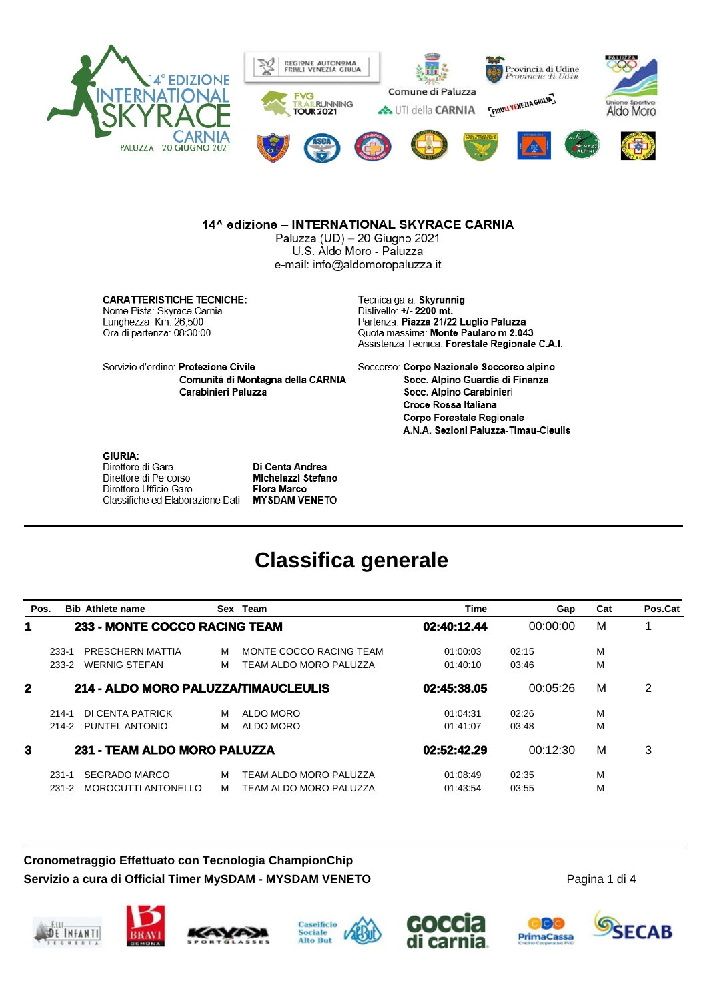

#### 14^ edizione - INTERNATIONAL SKYRACE CARNIA

Paluzza (UD) - 20 Giugno 2021 U.S. Aldo Moro - Paluzza e-mail: info@aldomoropaluzza.it

**CARATTERISTICHE TECNICHE:** Nome Pista: Skyrace Carnia Lunghezza: Km. 26,500 Ora di partenza: 08:30:00

Tecnica gara: Skyrunnig Dislivello: +/- 2200 mt. Partenza: Piazza 21/22 Luglio Paluzza Quota massima: Monte Paularo m 2.043 Assistenza Tecnica: Forestale Regionale C.A.I.

Servizio d'ordine: Protezione Civile Comunità di Montagna della CARNIA Carabinieri Paluzza

Soccorso: Corpo Nazionale Soccorso alpino Socc. Alpino Guardia di Finanza Socc. Alpino Carabinieri Croce Rossa Italiana **Corpo Forestale Regionale** A.N.A. Sezioni Paluzza-Timau-Cleulis

#### **GIURIA:**

Direttore di Gara Direttore di Percorso Direttore Ufficio Gare Classifiche ed Elaborazione Dati

Di Centa Andrea Michelazzi Stefano **Flora Marco MYSDAM VENETO** 

### **Classifica generale**

| Pos.        |           | <b>Bib Athlete name</b>              | Sex | Team                    | <b>Time</b> | Gap      | Cat | Pos.Cat |
|-------------|-----------|--------------------------------------|-----|-------------------------|-------------|----------|-----|---------|
| 1           |           | <b>233 - MONTE COCCO RACING TEAM</b> |     |                         | 02:40:12.44 | 00:00:00 | M   |         |
|             | $233 - 1$ | PRESCHERN MATTIA                     | м   | MONTE COCCO RACING TEAM | 01:00:03    | 02:15    | M   |         |
|             | 233-2     | <b>WERNIG STEFAN</b>                 | M   | TEAM ALDO MORO PALUZZA  | 01:40:10    | 03:46    | M   |         |
| $\mathbf 2$ |           | 214 - ALDO MORO PALUZZA/TIMAUCLEULIS |     |                         | 02:45:38.05 | 00:05:26 | M   | 2       |
|             | $214 - 1$ | DI CENTA PATRICK                     | M   | ALDO MORO               | 01:04:31    | 02:26    | M   |         |
|             | 214-2     | PUNTEL ANTONIO                       | M   | ALDO MORO               | 01:41:07    | 03:48    | M   |         |
| 3           |           | 231 - TEAM ALDO MORO PALUZZA         |     |                         | 02:52:42.29 | 00:12:30 | M   | 3       |
|             | $231 - 1$ | SEGRADO MARCO                        | м   | TEAM ALDO MORO PALUZZA  | 01:08:49    | 02:35    | M   |         |
|             | 231-2     | MOROCUTTI ANTONELLO                  | M   | TEAM ALDO MORO PALUZZA  | 01:43:54    | 03:55    | M   |         |

### **Cronometraggio Effettuato con Tecnologia ChampionChip Servizio a cura di Official Timer MySDAM - MYSDAM VENETO**











Pagina 1 di 4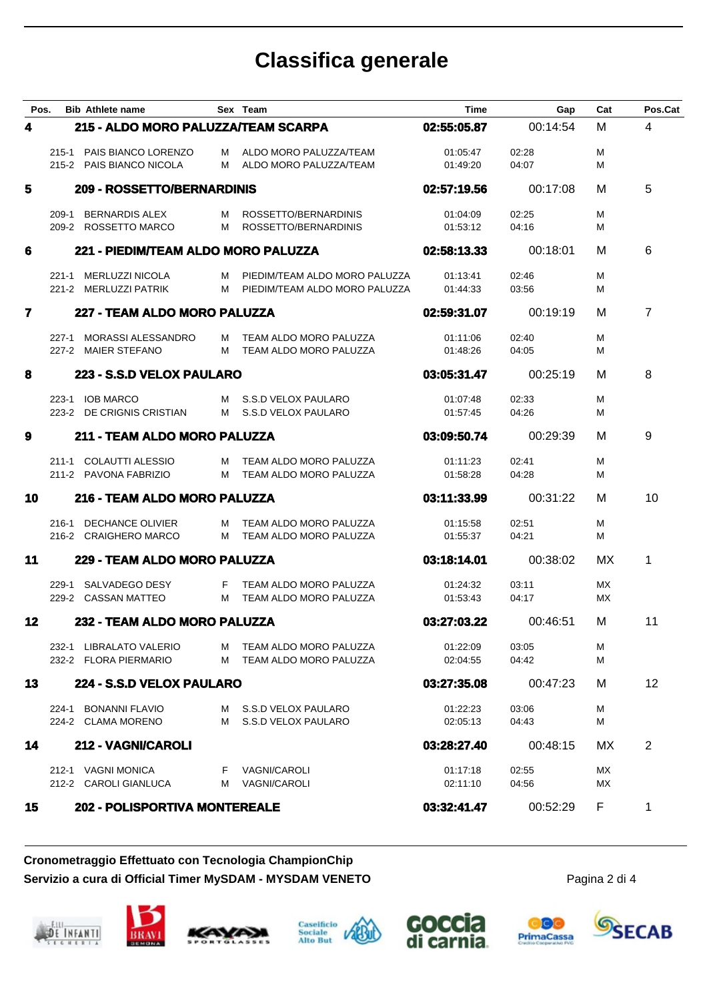## **Classifica generale**

| Pos.                    |                              | <b>Bib Athlete name</b>                               |                              | Sex Team                                                           | <b>Time</b>          | Gap            | Cat      | Pos.Cat        |
|-------------------------|------------------------------|-------------------------------------------------------|------------------------------|--------------------------------------------------------------------|----------------------|----------------|----------|----------------|
| 4                       |                              | 215 - ALDO MORO PALUZZA/TEAM SCARPA                   |                              |                                                                    | 02:55:05.87          | 00:14:54       | M        | $\overline{4}$ |
|                         |                              | 215-1 PAIS BIANCO LORENZO<br>215-2 PAIS BIANCO NICOLA |                              | M ALDO MORO PALUZZA/TEAM<br>M ALDO MORO PALUZZA/TEAM               | 01:05:47<br>01:49:20 | 02:28<br>04:07 | М<br>м   |                |
| 5                       |                              | 209 - ROSSETTO/BERNARDINIS                            |                              |                                                                    | 02:57:19.56          | 00:17:08       | м        | 5              |
|                         | 209-1                        | BERNARDIS ALEX<br>209-2 ROSSETTO MARCO                | M<br>M                       | ROSSETTO/BERNARDINIS<br>ROSSETTO/BERNARDINIS                       | 01:04:09<br>01:53:12 | 02:25<br>04:16 | м<br>М   |                |
| 6                       |                              | 221 - PIEDIM/TEAM ALDO MORO PALUZZA                   |                              |                                                                    | 02:58:13.33          | 00:18:01       | м        | 6              |
|                         |                              | 221-1 MERLUZZI NICOLA<br>221-2 MERLUZZI PATRIK        |                              | M PIEDIM/TEAM ALDO MORO PALUZZA<br>M PIEDIM/TEAM ALDO MORO PALUZZA | 01:13:41<br>01:44:33 | 02:46<br>03:56 | м<br>м   |                |
| $\overline{\mathbf{r}}$ |                              | 227 - TEAM ALDO MORO PALUZZA                          |                              |                                                                    | 02:59:31.07          | 00:19:19       | м        | $\overline{7}$ |
|                         |                              | 227-1 MORASSI ALESSANDRO<br>227-2 MAIER STEFANO       |                              | M TEAM ALDO MORO PALUZZA<br>M TEAM ALDO MORO PALUZZA               | 01:11:06<br>01:48:26 | 02:40<br>04:05 | М<br>м   |                |
| 8                       |                              | 223 - S.S.D VELOX PAULARO                             |                              |                                                                    | 03:05:31.47          | 00:25:19       | м        | 8              |
|                         |                              | 223-1 IOB MARCO<br>223-2 DE CRIGNIS CRISTIAN          |                              | M S.S.D VELOX PAULARO<br>M S.S.D VELOX PAULARO                     | 01:07:48<br>01:57:45 | 02:33<br>04:26 | M<br>м   |                |
| 9                       | 211 - TEAM ALDO MORO PALUZZA |                                                       |                              |                                                                    | 03:09:50.74          | 00:29:39       | м        | 9              |
|                         |                              | 211-1 COLAUTTI ALESSIO<br>211-2 PAVONA FABRIZIO       |                              | M TEAM ALDO MORO PALUZZA<br>M TEAM ALDO MORO PALUZZA               | 01:11:23<br>01:58:28 | 02:41<br>04:28 | м<br>м   |                |
| 10                      |                              | 216 - TEAM ALDO MORO PALUZZA                          |                              | 03:11:33.99                                                        | 00:31:22             | м              | 10       |                |
|                         |                              | 216-1 DECHANCE OLIVIER<br>216-2 CRAIGHERO MARCO       |                              | M TEAM ALDO MORO PALUZZA<br>M TEAM ALDO MORO PALUZZA               | 01:15:58<br>01:55:37 | 02:51<br>04:21 | М<br>м   |                |
| 11                      |                              |                                                       | 229 - TEAM ALDO MORO PALUZZA |                                                                    |                      | 00:38:02       | мx       | 1              |
|                         | $229-1$                      | SALVADEGO DESY<br>229-2 CASSAN MATTEO                 |                              | F TEAM ALDO MORO PALUZZA<br>M TEAM ALDO MORO PALUZZA               | 01:24:32<br>01:53:43 | 03:11<br>04:17 | МX<br>МX |                |
| 12                      |                              | 232 - TEAM ALDO MORO PALUZZA                          |                              |                                                                    | 03:27:03.22          | 00:46:51       | м        | 11             |
|                         |                              | 232-1 LIBRALATO VALERIO<br>232-2 FLORA PIERMARIO      |                              | M TEAM ALDO MORO PALUZZA<br>M TEAM ALDO MORO PALUZZA               | 01:22:09<br>02:04:55 | 03:05<br>04:42 | M<br>м   |                |
| 13                      |                              | 224 - S.S.D VELOX PAULARO                             |                              |                                                                    | 03:27:35.08          | 00:47:23       | м        | 12             |
|                         |                              | 224-1 BONANNI FLAVIO<br>224-2 CLAMA MORENO            |                              | M S.S.D VELOX PAULARO<br>M S.S.D VELOX PAULARO                     | 01:22:23<br>02:05:13 | 03:06<br>04:43 | Μ<br>М   |                |
| 14                      |                              | 212 - VAGNI/CAROLI                                    |                              |                                                                    | 03:28:27.40          | 00:48:15       | МX       | 2              |
|                         |                              | 212-1 VAGNI MONICA<br>212-2 CAROLI GIANLUCA           |                              | F VAGNI/CAROLI<br>M VAGNI/CAROLI                                   | 01:17:18<br>02:11:10 | 02:55<br>04:56 | МX<br>МX |                |
| 15                      |                              | <b>202 - POLISPORTIVA MONTEREALE</b>                  |                              |                                                                    | 03:32:41.47          | 00:52:29       | F        | $\mathbf 1$    |

**Cronometraggio Effettuato con Tecnologia ChampionChip Servizio a cura di Official Timer MySDAM - MYSDAM VENETO**













Pagina 2 di 4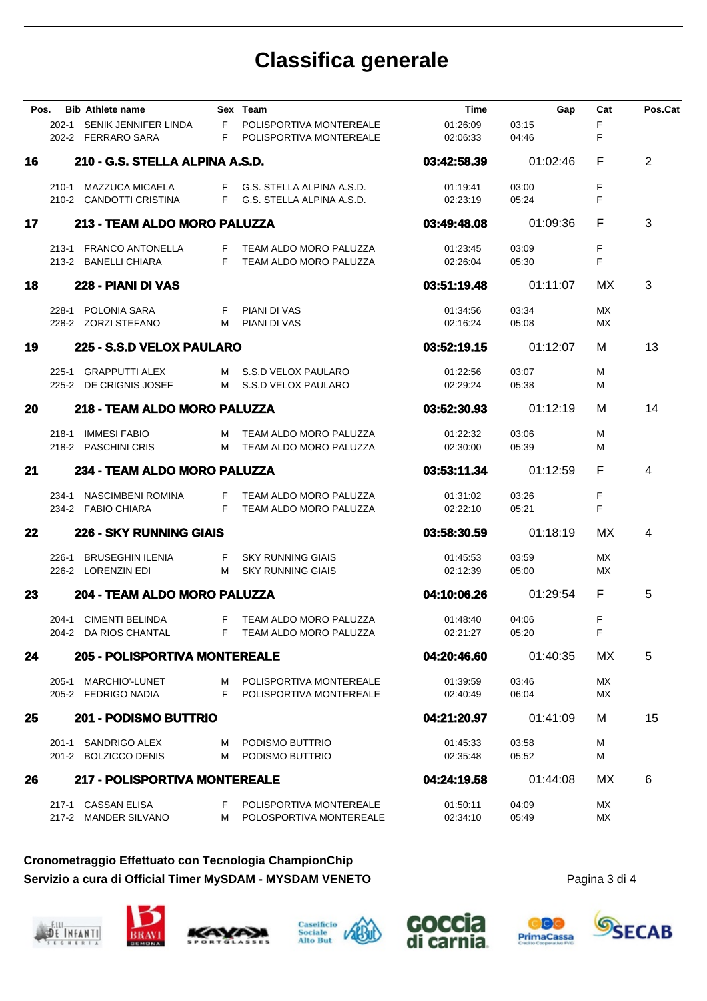# **Classifica generale**

| Pos. | <b>Bib Athlete name</b>                          |            | Sex Team                                                   | <b>Time</b>          | Gap            | Cat      | Pos.Cat |
|------|--------------------------------------------------|------------|------------------------------------------------------------|----------------------|----------------|----------|---------|
|      | 202-1 SENIK JENNIFER LINDA<br>202-2 FERRARO SARA | F.<br>F.   | POLISPORTIVA MONTEREALE<br>POLISPORTIVA MONTEREALE         | 01:26:09<br>02:06:33 | 03:15<br>04:46 | F<br>F   |         |
| 16   | 210 - G.S. STELLA ALPINA A.S.D.                  |            |                                                            | 03:42:58.39          | 01:02:46       | F        | 2       |
|      | 210-1 MAZZUCA MICAELA<br>210-2 CANDOTTI CRISTINA |            | F G.S. STELLA ALPINA A.S.D.<br>F G.S. STELLA ALPINA A.S.D. | 01:19:41<br>02:23:19 | 03:00<br>05:24 | F<br>F   |         |
| 17   | 213 - TEAM ALDO MORO PALUZZA                     |            |                                                            | 03:49:48.08          | 01:09:36       | F        | 3       |
|      | 213-1 FRANCO ANTONELLA<br>213-2 BANELLI CHIARA   | F          | F TEAM ALDO MORO PALUZZA<br>TEAM ALDO MORO PALUZZA         | 01:23:45<br>02:26:04 | 03:09<br>05:30 | F<br>F   |         |
| 18   | 228 - PIANI DI VAS                               |            |                                                            | 03:51:19.48          | 01:11:07       | МX       | 3       |
|      | 228-1 POLONIA SARA<br>228-2 ZORZI STEFANO        | F.         | <b>PIANI DI VAS</b><br>M PIANI DI VAS                      | 01:34:56<br>02:16:24 | 03:34<br>05:08 | МX<br>МX |         |
| 19   | 225 - S.S.D VELOX PAULARO                        |            |                                                            | 03:52:19.15          | 01:12:07       | м        | 13      |
|      | 225-1 GRAPPUTTI ALEX<br>225-2 DE CRIGNIS JOSEF   |            | M S.S.D VELOX PAULARO<br>M S.S.D VELOX PAULARO             | 01:22:56<br>02:29:24 | 03:07<br>05:38 | М<br>м   |         |
| 20   | 218 - TEAM ALDO MORO PALUZZA                     |            |                                                            | 03:52:30.93          | 01:12:19       | м        | 14      |
|      | 218-1 IMMESI FABIO<br>218-2 PASCHINI CRIS        |            | M TEAM ALDO MORO PALUZZA<br>M TEAM ALDO MORO PALUZZA       | 01:22:32<br>02:30:00 | 03:06<br>05:39 | м<br>м   |         |
| 21   | 234 - TEAM ALDO MORO PALUZZA                     |            |                                                            | 03:53:11.34          | 01:12:59       | F        | 4       |
|      | 234-1 NASCIMBENI ROMINA<br>234-2 FABIO CHIARA    | F<br>F     | TEAM ALDO MORO PALUZZA<br>TEAM ALDO MORO PALUZZA           | 01:31:02<br>02:22:10 | 03:26<br>05:21 | F<br>F   |         |
| 22   | <b>226 - SKY RUNNING GIAIS</b>                   |            |                                                            | 03:58:30.59          | 01:18:19       | МX       | 4       |
|      | 226-1 BRUSEGHIN ILENIA<br>226-2 LORENZIN EDI     | F.         | <b>SKY RUNNING GIAIS</b><br>M SKY RUNNING GIAIS            | 01:45:53<br>02:12:39 | 03:59<br>05:00 | МX<br>МX |         |
| 23   | 204 - TEAM ALDO MORO PALUZZA                     |            |                                                            | 04:10:06.26          | 01:29:54       | F.       | 5       |
|      | 204-1 CIMENTI BELINDA<br>204-2 DA RIOS CHANTAL   | F<br>$- F$ | TEAM ALDO MORO PALUZZA<br>TEAM ALDO MORO PALUZZA           | 01:48:40<br>02:21:27 | 04:06<br>05:20 | F<br>F   |         |
| 24   | <b>205 - POLISPORTIVA MONTEREALE</b>             |            |                                                            | 04:20:46.60          | 01:40:35       | МX       | 5       |
|      | 205-1 MARCHIO'-LUNET<br>205-2 FEDRIGO NADIA      |            | M POLISPORTIVA MONTEREALE<br>F POLISPORTIVA MONTEREALE     | 01:39:59<br>02:40:49 | 03:46<br>06:04 | МX<br>МX |         |
| 25   | 201 - PODISMO BUTTRIO                            |            |                                                            | 04:21:20.97          | 01:41:09       | М        | 15      |
|      | 201-1 SANDRIGO ALEX<br>201-2 BOLZICCO DENIS      |            | M PODISMO BUTTRIO<br>M PODISMO BUTTRIO                     | 01:45:33<br>02:35:48 | 03:58<br>05:52 | М<br>м   |         |
| 26   | 217 - POLISPORTIVA MONTEREALE                    |            |                                                            | 04:24:19.58          | 01:44:08       | МX       | 6       |
|      | 217-1 CASSAN ELISA<br>217-2 MANDER SILVANO       | F.         | POLISPORTIVA MONTEREALE<br>M POLOSPORTIVA MONTEREALE       | 01:50:11<br>02:34:10 | 04:09<br>05:49 | МX<br>МX |         |

### **Cronometraggio Effettuato con Tecnologia ChampionChip Servizio a cura di Official Timer MySDAM - MYSDAM VENETO**









Pagina 3 di 4

oc